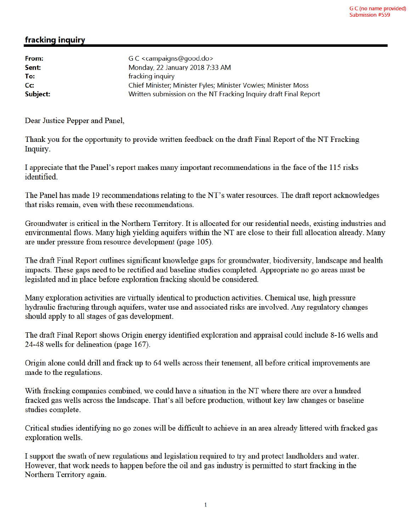## fracking inquiry

| From:    | G C <campaigns@good.do></campaigns@good.do>                      |
|----------|------------------------------------------------------------------|
| Sent:    | Monday, 22 January 2018 7:33 AM                                  |
| To:      | fracking inquiry                                                 |
| cc:      | Chief Minister; Minister Fyles; Minister Vowles; Minister Moss   |
| Subject: | Written submission on the NT Fracking Inquiry draft Final Report |

Dear Justice Pepper and Panel,

Thank you for the opportunity to provide written feedback on the draft Final Report of the NT Fracking Inquiry.

I appreciate that the Panel's report makes many important recommendations in the face of the 115 risks identified

The Panel has made 19 recommendations relating to the NT's water resources. The draft report acknowledges that risks remain, even with these recommendations.

Groundwater is critical in the Northern Territory. It is allocated for our residential needs, existing industries and environmental flows. Many high yielding aquifers within the NT are close to their full allocation already. Many are under pressure from resource development (page 105).

The draft Final Report outlines significant knowledge gaps for groundwater, biodiversity, landscape and health impacts. These gaps need to be rectified and baseline studies completed. Appropriate no go areas must be legislated and in place before exploration fracking should be considered.

Many exploration activities are virtually identical to production activities. Chemical use, high pressure hydraulic fracturing through aquifers, water use and associated risks are involved. Any regulatory changes should apply to all stages of gas development.

The draft Final Report shows Origin energy identified exploration and appraisal could include 8-16 wells and 24-48 wells for delineation (page 167).

Origin alone could drill and frack up to 64 wells across their tenement, all before critical improvements are made to the regulations.

With fracking companies combined, we could have a situation in the NT where there are over a hundred fracked gas wells across the landscape. That's all before production, without key law changes or baseline studies complete.

Critical studies identifying no go zones will be difficult to achieve in an area already littered with fracked gas exploration wells.

I support the swath of new regulations and legislation required to try and protect landholders and water. However, that work needs to happen before the oil and gas industry is permitted to start fracking in the Northern Territory again.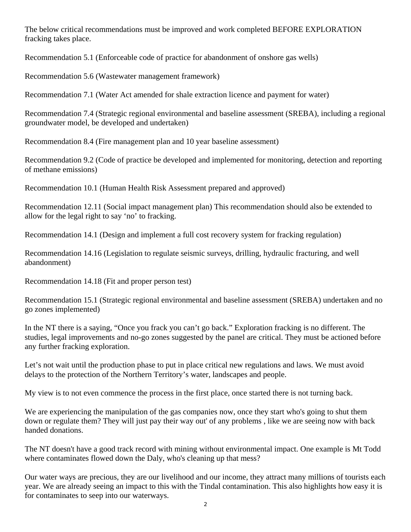The below critical recommendations must be improved and work completed BEFORE EXPLORATION fracking takes place.

Recommendation 5.1 (Enforceable code of practice for abandonment of onshore gas wells)

Recommendation 5.6 (Wastewater management framework)

Recommendation 7.1 (Water Act amended for shale extraction licence and payment for water)

Recommendation 7.4 (Strategic regional environmental and baseline assessment (SREBA), including a regional groundwater model, be developed and undertaken)

Recommendation 8.4 (Fire management plan and 10 year baseline assessment)

Recommendation 9.2 (Code of practice be developed and implemented for monitoring, detection and reporting of methane emissions)

Recommendation 10.1 (Human Health Risk Assessment prepared and approved)

Recommendation 12.11 (Social impact management plan) This recommendation should also be extended to allow for the legal right to say 'no' to fracking.

Recommendation 14.1 (Design and implement a full cost recovery system for fracking regulation)

Recommendation 14.16 (Legislation to regulate seismic surveys, drilling, hydraulic fracturing, and well abandonment)

Recommendation 14.18 (Fit and proper person test)

Recommendation 15.1 (Strategic regional environmental and baseline assessment (SREBA) undertaken and no go zones implemented)

In the NT there is a saying, "Once you frack you can't go back." Exploration fracking is no different. The studies, legal improvements and no-go zones suggested by the panel are critical. They must be actioned before any further fracking exploration.

Let's not wait until the production phase to put in place critical new regulations and laws. We must avoid delays to the protection of the Northern Territory's water, landscapes and people.

My view is to not even commence the process in the first place, once started there is not turning back.

We are experiencing the manipulation of the gas companies now, once they start who's going to shut them down or regulate them? They will just pay their way out' of any problems , like we are seeing now with back handed donations.

The NT doesn't have a good track record with mining without environmental impact. One example is Mt Todd where contaminates flowed down the Daly, who's cleaning up that mess?

Our water ways are precious, they are our livelihood and our income, they attract many millions of tourists each year. We are already seeing an impact to this with the Tindal contamination. This also highlights how easy it is for contaminates to seep into our waterways.